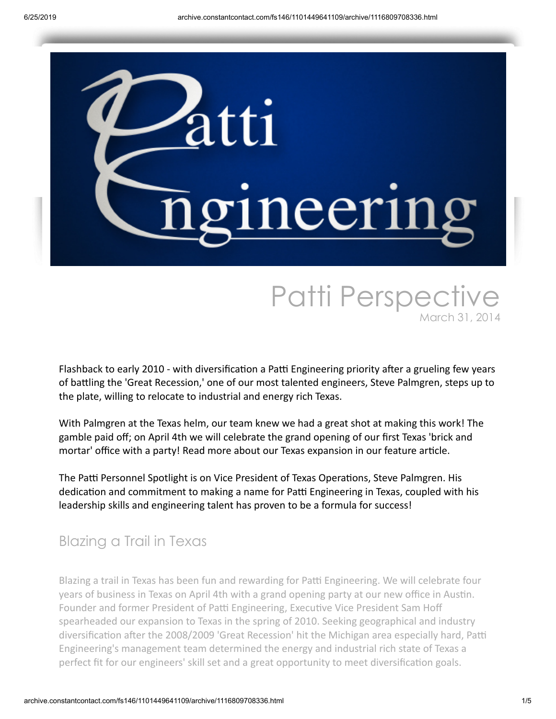

# Patti Perspective March 31, 2014

Flashback to early 2010 - with diversification a Patti Engineering priority after a grueling few years of battling the 'Great Recession,' one of our most talented engineers, Steve Palmgren, steps up to the plate, willing to relocate to industrial and energy rich Texas.

With Palmgren at the Texas helm, our team knew we had a great shot at making this work! The gamble paid off; on April 4th we will celebrate the grand opening of our first Texas 'brick and mortar' office with a party! Read more about our Texas expansion in our feature article.

The Patti Personnel Spotlight is on Vice President of Texas Operations, Steve Palmgren. His dedication and commitment to making a name for Patti Engineering in Texas, coupled with his leadership skills and engineering talent has proven to be a formula for success!

### Blazing a Trail in Texas

Blazing a trail in Texas has been fun and rewarding for Patti Engineering. We will celebrate four years of business in Texas on April 4th with a grand opening party at our new office in Austin. Founder and former President of Patti Engineering, Executive Vice President Sam Hoff spearheaded our expansion to Texas in the spring of 2010. Seeking geographical and industry diversification after the 2008/2009 'Great Recession' hit the Michigan area especially hard, Patti Engineering's management team determined the energy and industrial rich state of Texas a perfect fit for our engineers' skill set and a great opportunity to meet diversification goals.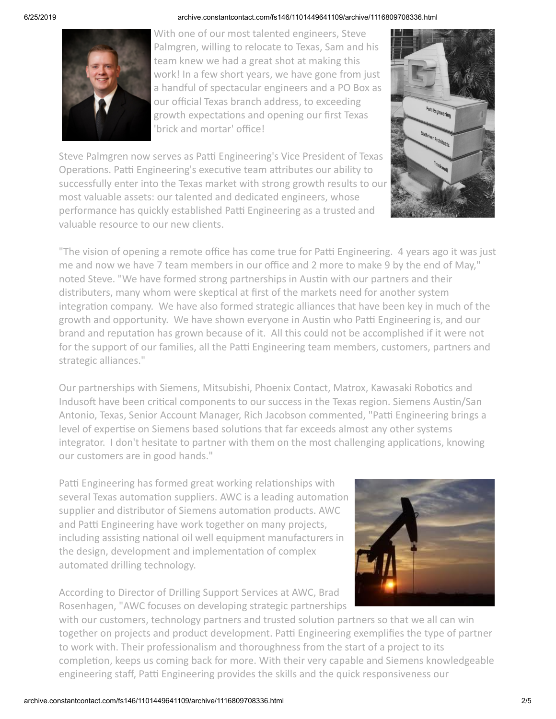

With one of our most talented engineers, Steve Palmgren, willing to relocate to Texas, Sam and his team knew we had a great shot at making this work! In a few short years, we have gone from just a handful of spectacular engineers and a PO Box as our official Texas branch address, to exceeding growth expectations and opening our first Texas 'brick and mortar' office!



Steve Palmgren now serves as Patti Engineering's Vice President of Texas Operations. Patti Engineering's executive team attributes our ability to successfully enter into the Texas market with strong growth results to our most valuable assets: our talented and dedicated engineers, whose performance has quickly established Patti Engineering as a trusted and valuable resource to our new clients.

"The vision of opening a remote office has come true for Patti Engineering. 4 years ago it was just me and now we have 7 team members in our office and 2 more to make 9 by the end of May," noted Steve. "We have formed strong partnerships in Austin with our partners and their distributers, many whom were skeptical at first of the markets need for another system integration company. We have also formed strategic alliances that have been key in much of the growth and opportunity. We have shown everyone in Austin who Patti Engineering is, and our brand and reputation has grown because of it. All this could not be accomplished if it were not for the support of our families, all the Patti Engineering team members, customers, partners and strategic alliances."

Our partnerships with Siemens, Mitsubishi, Phoenix Contact, Matrox, Kawasaki Robotics and Indusoft have been critical components to our success in the Texas region. Siemens Austin/San Antonio, Texas, Senior Account Manager, Rich Jacobson commented, "Patti Engineering brings a level of expertise on Siemens based solutions that far exceeds almost any other systems integrator. I don't hesitate to partner with them on the most challenging applications, knowing our customers are in good hands."

Patti Engineering has formed great working relationships with several Texas automation suppliers. AWC is a leading automation supplier and distributor of Siemens automation products. AWC and Patti Engineering have work together on many projects, including assisting national oil well equipment manufacturers in the design, development and implementation of complex automated drilling technology.

According to Director of Drilling Support Services at AWC, Brad Rosenhagen, "AWC focuses on developing strategic partnerships



with our customers, technology partners and trusted solution partners so that we all can win together on projects and product development. Patti Engineering exemplifies the type of partner to work with. Their professionalism and thoroughness from the start of a project to its completion, keeps us coming back for more. With their very capable and Siemens knowledgeable engineering staff, Patti Engineering provides the skills and the quick responsiveness our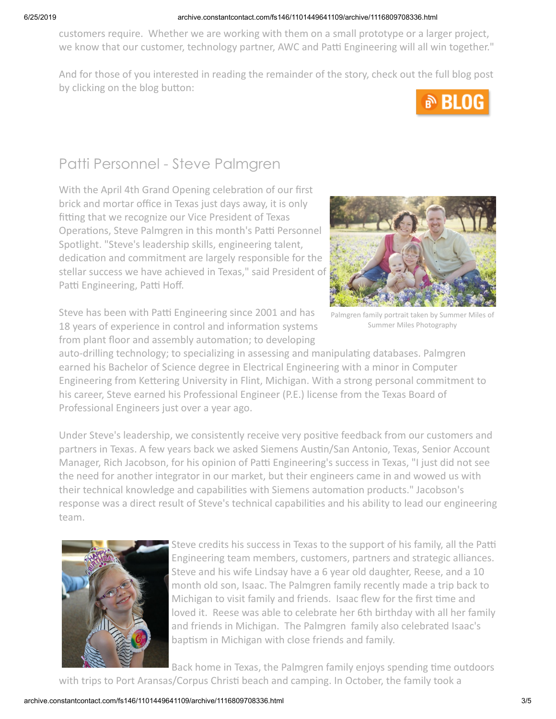customers require. Whether we are working with them on a small prototype or a larger project, we know that our customer, technology partner, AWC and Patti Engineering will all win together."

And for those of you interested in reading the remainder of the story, check out the full blog post by clicking on the blog button:



## Patti Personnel - Steve Palmgren

With the April 4th Grand Opening celebration of our first brick and mortar office in Texas just days away, it is only fitting that we recognize our Vice President of Texas Operations, Steve Palmgren in this month's Patti Personnel Spotlight. "Steve's leadership skills, engineering talent, dedication and commitment are largely responsible for the stellar success we have achieved in Texas," said President of Patti Engineering, Patti Hoff.



Steve has been with Patti Engineering since 2001 and has 18 years of experience in control and information systems from plant floor and assembly automation; to developing

Palmgren family portrait taken by Summer Miles of Summer Miles Photography

auto-drilling technology; to specializing in assessing and manipulating databases. Palmgren earned his Bachelor of Science degree in Electrical Engineering with a minor in Computer Engineering from Kettering University in Flint, Michigan. With a strong personal commitment to his career, Steve earned his Professional Engineer (P.E.) license from the Texas Board of Professional Engineers just over a year ago.

Under Steve's leadership, we consistently receive very positive feedback from our customers and partners in Texas. A few years back we asked Siemens Austin/San Antonio, Texas, Senior Account Manager, Rich Jacobson, for his opinion of Patti Engineering's success in Texas, "I just did not see the need for another integrator in our market, but their engineers came in and wowed us with their technical knowledge and capabilities with Siemens automation products." Jacobson's response was a direct result of Steve's technical capabilities and his ability to lead our engineering team.



Steve credits his success in Texas to the support of his family, all the Patti Engineering team members, customers, partners and strategic alliances. Steve and his wife Lindsay have a 6 year old daughter, Reese, and a 10 month old son, Isaac. The Palmgren family recently made a trip back to Michigan to visit family and friends. Isaac flew for the first time and loved it. Reese was able to celebrate her 6th birthday with all her family and friends in Michigan. The Palmgren family also celebrated Isaac's baptism in Michigan with close friends and family.

Back home in Texas, the Palmgren family enjoys spending time outdoors with trips to Port Aransas/Corpus Christi beach and camping. In October, the family took a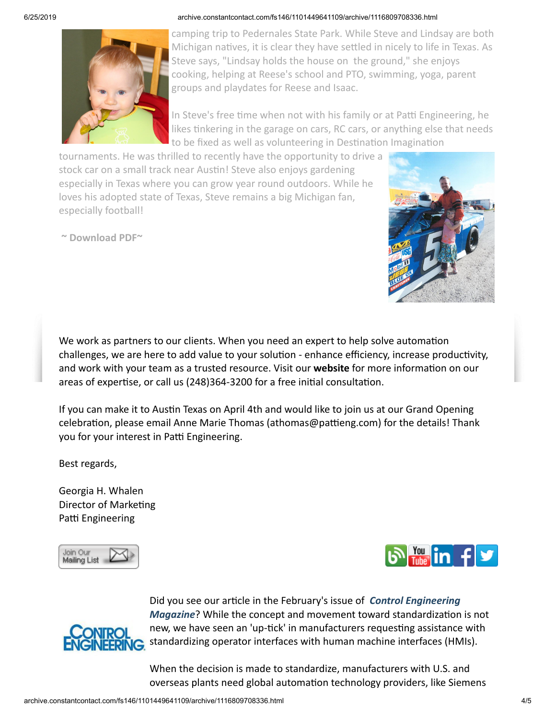

camping trip to Pedernales State Park. While Steve and Lindsay are both Michigan natives, it is clear they have settled in nicely to life in Texas. As Steve says, "Lindsay holds the house on the ground," she enjoys cooking, helping at Reese's school and PTO, swimming, yoga, parent groups and playdates for Reese and Isaac.

In Steve's free time when not with his family or at Patti Engineering, he likes tinkering in the garage on cars, RC cars, or anything else that needs to be fixed as well as volunteering in Destination Imagination

tournaments. He was thrilled to recently have the opportunity to drive a stock car on a small track near Austin! Steve also enjoys gardening especially in Texas where you can grow year round outdoors. While he loves his adopted state of Texas, Steve remains a big Michigan fan, especially football!

**~ [Download](https://origin.library.constantcontact.com/doc205/1101449641109/doc/gWhdTq0tFuNOq9Aj.pdf) PDF~**



We work as partners to our clients. When you need an expert to help solve automation challenges, we are here to add value to your solution - enhance efficiency, increase productivity, and work with your team as a trusted resource. Visit our **[website](http://www.pattieng.com/expertise.html?utm_source=Patti+Perspective_March_2014&utm_campaign=Newsletter+March+2014&utm_medium=email)** for more information on our areas of expertise, or call us (248)364-3200 for a free initial consultation.

If you can make it to Austin Texas on April 4th and would like to join us at our Grand Opening celebration, please email Anne Marie Thomas (athomas@pattieng.com) for the details! Thank you for your interest in Patti Engineering.

Best regards,

Georgia H. Whalen Director of Marketing Patti Engineering







Did you see our article in the February's issue of *Control Engineering Magazine*? While the concept and movement toward standardization is not new, we have seen an 'up-tick' in manufacturers requesting assistance with standardizing operator interfaces with human machine interfaces (HMIs).

When the decision is made to standardize, manufacturers with U.S. and overseas plants need global automation technology providers, like Siemens